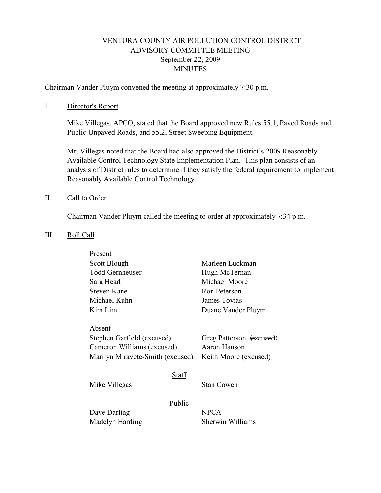# VENTURA COUNTY AIR POLLUTION CONTROL DISTRICT ADVISORY COMMITTEE MEETING September 22, 2009 **MINUTES**

Chairman Vander Pluym convened the meeting at approximately 7:30 p.m.

#### I. Director's Report

Mike Villegas, APCO, stated that the Board approved new Rules 55.1, Paved Roads and Public Unpaved Roads, and 55.2, Street Sweeping Equipment.

Mr. Villegas noted that the Board had also approved the District's 2009 Reasonably Available Control Technology State Implementation Plan. This plan consists of an analysis of District rules to determine if they satisfy the federal requirement to implement Reasonably Available Control Technology.

#### II. Call to Order

Chairman Vander Pluym called the meeting to order at approximately 7:34 p.m.

#### III. Roll Call

| Present                                                        |        |                                          |
|----------------------------------------------------------------|--------|------------------------------------------|
| Scott Blough                                                   |        | Marleen Luckman                          |
| <b>Todd Gernheuser</b>                                         |        | Hugh McTernan                            |
| Sara Head                                                      |        | Michael Moore                            |
| Steven Kane                                                    |        | Ron Peterson                             |
| Michael Kuhn                                                   |        | James Tovias                             |
| Kim Lim                                                        |        | Duane Vander Pluym                       |
|                                                                |        |                                          |
| Absent                                                         |        |                                          |
| Stephen Garfield (excused)                                     |        | Greg Patterson (excused)<br>Aaron Hanson |
| Cameron Williams (excused)<br>Marilyn Miravete-Smith (excused) |        |                                          |
|                                                                |        | Keith Moore (excused)                    |
|                                                                | Staff  |                                          |
| Mike Villegas                                                  |        | Stan Cowen                               |
|                                                                |        |                                          |
|                                                                | Public |                                          |
| Dave Darling                                                   |        | <b>NPCA</b>                              |
| Madelyn Harding                                                |        | Sherwin Williams                         |
|                                                                |        |                                          |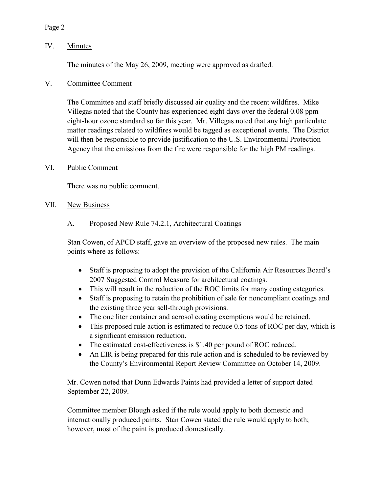### Page 2

## IV. Minutes

The minutes of the May 26, 2009, meeting were approved as drafted.

### V. Committee Comment

The Committee and staff briefly discussed air quality and the recent wildfires. Mike Villegas noted that the County has experienced eight days over the federal 0.08 ppm eight-hour ozone standard so far this year. Mr. Villegas noted that any high particulate matter readings related to wildfires would be tagged as exceptional events. The District will then be responsible to provide justification to the U.S. Environmental Protection Agency that the emissions from the fire were responsible for the high PM readings.

### VI. Public Comment

There was no public comment.

#### VII. New Business

A. Proposed New Rule 74.2.1, Architectural Coatings

Stan Cowen, of APCD staff, gave an overview of the proposed new rules. The main points where as follows:

- Staff is proposing to adopt the provision of the California Air Resources Board's 2007 Suggested Control Measure for architectural coatings.
- This will result in the reduction of the ROC limits for many coating categories.
- Staff is proposing to retain the prohibition of sale for noncompliant coatings and the existing three year sell-through provisions.
- The one liter container and aerosol coating exemptions would be retained.
- This proposed rule action is estimated to reduce 0.5 tons of ROC per day, which is a significant emission reduction.
- The estimated cost-effectiveness is \$1.40 per pound of ROC reduced.
- An EIR is being prepared for this rule action and is scheduled to be reviewed by the County's Environmental Report Review Committee on October 14, 2009.

Mr. Cowen noted that Dunn Edwards Paints had provided a letter of support dated September 22, 2009.

Committee member Blough asked if the rule would apply to both domestic and internationally produced paints. Stan Cowen stated the rule would apply to both; however, most of the paint is produced domestically.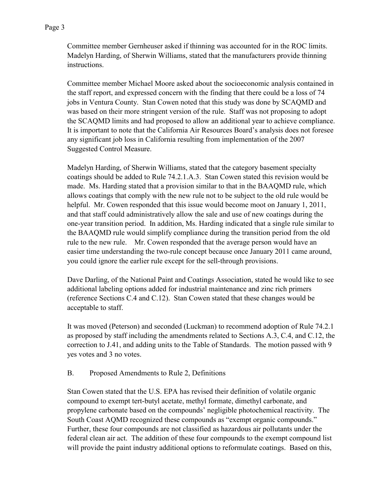Committee member Gernheuser asked if thinning was accounted for in the ROC limits. Madelyn Harding, of Sherwin Williams, stated that the manufacturers provide thinning instructions.

Committee member Michael Moore asked about the socioeconomic analysis contained in the staff report, and expressed concern with the finding that there could be a loss of 74 jobs in Ventura County. Stan Cowen noted that this study was done by SCAQMD and was based on their more stringent version of the rule. Staff was not proposing to adopt the SCAQMD limits and had proposed to allow an additional year to achieve compliance. It is important to note that the California Air Resources Board's analysis does not foresee any significant job loss in California resulting from implementation of the 2007 Suggested Control Measure.

Madelyn Harding, of Sherwin Williams, stated that the category basement specialty coatings should be added to Rule 74.2.1.A.3. Stan Cowen stated this revision would be made. Ms. Harding stated that a provision similar to that in the BAAQMD rule, which allows coatings that comply with the new rule not to be subject to the old rule would be helpful. Mr. Cowen responded that this issue would become moot on January 1, 2011, and that staff could administratively allow the sale and use of new coatings during the one-year transition period. In addition, Ms. Harding indicated that a single rule similar to the BAAQMD rule would simplify compliance during the transition period from the old rule to the new rule. Mr. Cowen responded that the average person would have an easier time understanding the two-rule concept because once January 2011 came around, you could ignore the earlier rule except for the sell-through provisions.

Dave Darling, of the National Paint and Coatings Association, stated he would like to see additional labeling options added for industrial maintenance and zinc rich primers (reference Sections C.4 and C.12). Stan Cowen stated that these changes would be acceptable to staff.

It was moved (Peterson) and seconded (Luckman) to recommend adoption of Rule 74.2.1 as proposed by staff including the amendments related to Sections A.3, C.4, and C.12, the correction to J.41, and adding units to the Table of Standards. The motion passed with 9 yes votes and 3 no votes.

### B. Proposed Amendments to Rule 2, Definitions

Stan Cowen stated that the U.S. EPA has revised their definition of volatile organic compound to exempt tert-butyl acetate, methyl formate, dimethyl carbonate, and propylene carbonate based on the compounds' negligible photochemical reactivity. The South Coast AQMD recognized these compounds as "exempt organic compounds." Further, these four compounds are not classified as hazardous air pollutants under the federal clean air act. The addition of these four compounds to the exempt compound list will provide the paint industry additional options to reformulate coatings. Based on this,